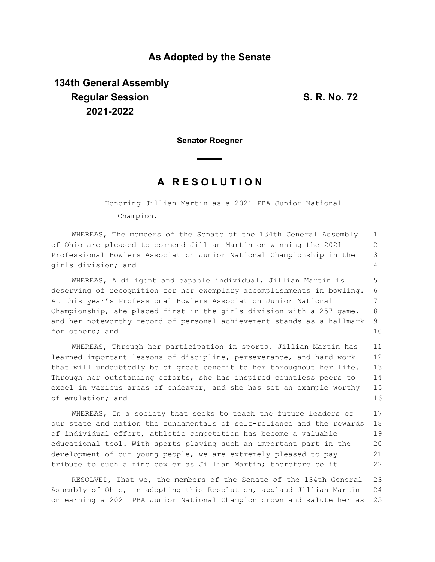## **As Adopted by the Senate**

# **134th General Assembly Regular Session S. R. No. 72 2021-2022**

**Senator Roegner**

## **A R E S O L U T I O N**

Honoring Jillian Martin as a 2021 PBA Junior National Champion.

WHEREAS, The members of the Senate of the 134th General Assembly of Ohio are pleased to commend Jillian Martin on winning the 2021 Professional Bowlers Association Junior National Championship in the girls division; and 1 2 3 4

WHEREAS, A diligent and capable individual, Jillian Martin is deserving of recognition for her exemplary accomplishments in bowling. At this year's Professional Bowlers Association Junior National Championship, she placed first in the girls division with a 257 game, and her noteworthy record of personal achievement stands as a hallmark for others; and 5 6 7 8 9 10

WHEREAS, Through her participation in sports, Jillian Martin has learned important lessons of discipline, perseverance, and hard work that will undoubtedly be of great benefit to her throughout her life. Through her outstanding efforts, she has inspired countless peers to excel in various areas of endeavor, and she has set an example worthy of emulation; and 11 12 13 14 15 16

WHEREAS, In a society that seeks to teach the future leaders of our state and nation the fundamentals of self-reliance and the rewards of individual effort, athletic competition has become a valuable educational tool. With sports playing such an important part in the development of our young people, we are extremely pleased to pay tribute to such a fine bowler as Jillian Martin; therefore be it 17 18 19 20 21 22

RESOLVED, That we, the members of the Senate of the 134th General Assembly of Ohio, in adopting this Resolution, applaud Jillian Martin on earning a 2021 PBA Junior National Champion crown and salute her as 23 24 25